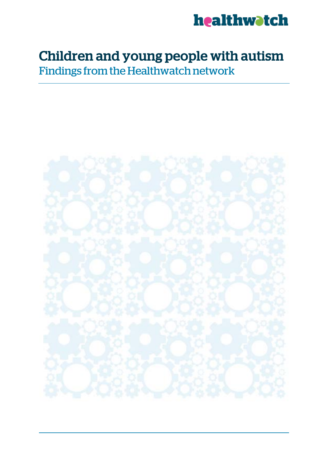

# Children and young people with autism

Findings from the Healthwatch network

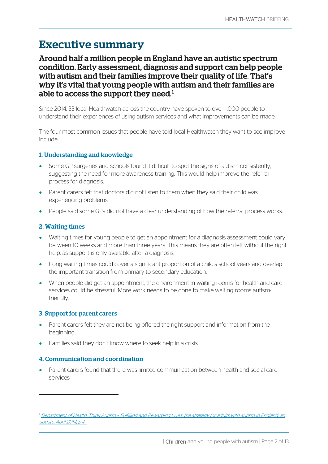## Executive summary

### Around half a million people in England have an autistic spectrum condition. Early assessment, diagnosis and support can help people with autism and their families improve their quality of life. That's why it's vital that young people with autism and their families are able to access the support they need. $^{\rm 1}$  $^{\rm 1}$  $^{\rm 1}$

Since 2014, 33 local Healthwatch across the country have spoken to over 1,000 people to understand their experiences of using autism services and what improvements can be made.

The four most common issues that people have told local Healthwatch they want to see improve include:

#### 1. Understanding and knowledge

- Some GP surgeries and schools found it difficult to spot the signs of autism consistently, suggesting the need for more awareness training. This would help improve the referral process for diagnosis.
- Parent carers felt that doctors did not listen to them when they said their child was experiencing problems.
- People said some GPs did not have a clear understanding of how the referral process works.

#### 2. Waiting times

- Waiting times for young people to get an appointment for a diagnosis assessment could vary between 10 weeks and more than three years. This means they are often left without the right help, as support is only available after a diagnosis.
- Long waiting times could cover a significant proportion of a child's school years and overlap the important transition from primary to secondary education.
- When people did get an appointment, the environment in waiting rooms for health and care services could be stressful. More work needs to be done to make waiting rooms autismfriendly.

#### 3. Support for parent carers

 $\overline{a}$ 

- Parent carers felt they are not being offered the right support and information from the beginning.
- Families said they don't know where to seek help in a crisis.

#### 4. Communication and coordination

• Parent carers found that there was limited communication between health and social care services.

<span id="page-1-0"></span><sup>1</sup> Department of Health, Think Autism – [Fulfilling and Rewarding Lives, the strategy for adults with autism in England: an](https://www.gov.uk/government/uploads/system/uploads/attachment_data/file/299866/Autism_Strategy.pdf)  [update, April 2014, p.4](https://www.gov.uk/government/uploads/system/uploads/attachment_data/file/299866/Autism_Strategy.pdf)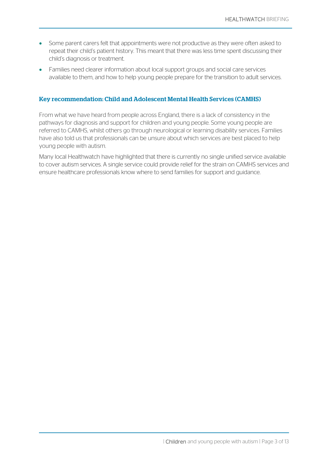- Some parent carers felt that appointments were not productive as they were often asked to repeat their child's patient history. This meant that there was less time spent discussing their child's diagnosis or treatment.
- Families need clearer information about local support groups and social care services available to them, and how to help young people prepare for the transition to adult services.

#### Key recommendation: Child and Adolescent Mental Health Services (CAMHS)

From what we have heard from people across England, there is a lack of consistency in the pathways for diagnosis and support for children and young people. Some young people are referred to CAMHS, whilst others go through neurological or learning disability services. Families have also told us that professionals can be unsure about which services are best placed to help young people with autism.

Many local Healthwatch have highlighted that there is currently no single unified service available to cover autism services. A single service could provide relief for the strain on CAMHS services and ensure healthcare professionals know where to send families for support and guidance.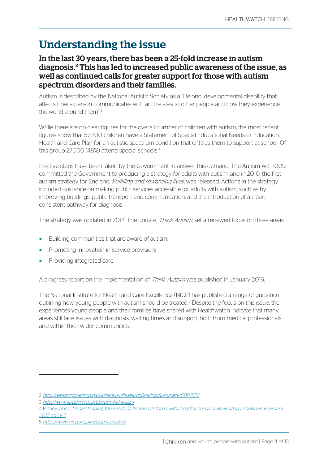## Understanding the issue

### In the last 30 years, there has been a 25-fold increase in autism diagnosis.<sup>[2](#page-3-0)</sup> This has led to increased public awareness of the issue, as well as continued calls for greater support for those with autism spectrum disorders and their families.

Autism is described by the National Autistic Society as a "lifelong, developmental disability that affects how a person communicates with and relates to other people and how they experience the world around them". [3](#page-3-1)

While there are no clear figures for the overall number of children with autism, the most recent figures show that 57,200 children have a Statement of Special Educational Needs or Education, Health and Care Plan for an autistic spectrum condition that entitles them to support at school. Of this group 27,500 ([4](#page-3-2)8%) attend special schools.<sup>4</sup>

Positive steps have been taken by the Government to answer this demand. The Autism Act 2009 committed the Government to producing a strategy for adults with autism, and in 2010, the first autism strategy for England, Fulfilling and rewarding lives, was released. Actions in the strategy included guidance on making public services accessible for adults with autism, such as by improving buildings, public transport and communication, and the introduction of a clear, consistent pathway for diagnosis.

The strategy was updated in 2014. The update, *Think Autism*, set a renewed focus on three areas:

- Building communities that are aware of autism;
- Promoting innovation in service provision;
- Providing integrated care.

A progress report on the implementation of Think Autism was published in January 2016.

The National Institute for Health and Care Excellence (NICE) has published a range of guidance outlining how young people with autism should be treated.<sup>[5](#page-3-3)</sup> Despite the focus on this issue, the experiences young people and their families have shared with Healthwatch indicate that many areas still face issues with diagnosis, waiting times and support, both from medical professionals and within their wider communities.

 $\overline{a}$ 

<span id="page-3-0"></span><sup>2</sup> <http://researchbriefings.parliament.uk/ResearchBriefing/Summary/CBP-7172>

<span id="page-3-1"></span><sup>3</sup> <http://www.autism.org.uk/about/what-is.aspx>

<span id="page-3-2"></span><sup>4</sup> Pinney, Anne, [Understanding the needs of disabled children with complex needs or life-limiting conditions, February](https://www.ncb.org.uk/sites/default/files/field/attachment/SEND%20Data%20Report_March2017.pdf)  2017, [pp. 11-12](https://www.ncb.org.uk/sites/default/files/field/attachment/SEND%20Data%20Report_March2017.pdf)

<span id="page-3-3"></span><sup>5</sup> <https://www.nice.org.uk/guidance/cg170>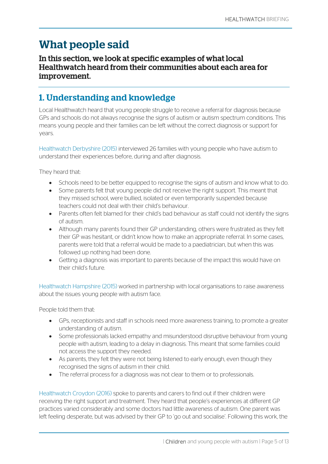## What people said

### In this section, we look at specific examples of what local Healthwatch heard from their communities about each area for improvement.

## 1. Understanding and knowledge

Local Healthwatch heard that young people struggle to receive a referral for diagnosis because GPs and schools do not always recognise the signs of autism or autism spectrum conditions. This means young people and their families can be left without the correct diagnosis or support for years.

Healthwatch Derbyshire (2015) interviewed 26 families with young people who have autism to understand their experiences before, during and after diagnosis.

They heard that:

- Schools need to be better equipped to recognise the signs of autism and know what to do.
- Some parents felt that young people did not receive the right support. This meant that they missed school, were bullied, isolated or even temporarily suspended because teachers could not deal with their child's behaviour.
- Parents often felt blamed for their child's bad behaviour as staff could not identify the signs of autism.
- Although many parents found their GP understanding, others were frustrated as they felt their GP was hesitant, or didn't know how to make an appropriate referral. In some cases, parents were told that a referral would be made to a paediatrician, but when this was followed up nothing had been done.
- Getting a diagnosis was important to parents because of the impact this would have on their child's future.

Healthwatch Hampshire (2015) worked in partnership with local organisations to raise awareness about the issues young people with autism face.

People told them that:

- GPs, receptionists and staff in schools need more awareness training, to promote a greater understanding of autism.
- Some professionals lacked empathy and misunderstood disruptive behaviour from young people with autism, leading to a delay in diagnosis. This meant that some families could not access the support they needed.
- As parents, they felt they were not being listened to early enough, even though they recognised the signs of autism in their child.
- The referral process for a diagnosis was not clear to them or to professionals.

Healthwatch Croydon (2016) spoke to parents and carers to find out if their children were receiving the right support and treatment. They heard that people's experiences at different GP practices varied considerably and some doctors had little awareness of autism. One parent was left feeling desperate, but was advised by their GP to 'go out and socialise'. Following this work, the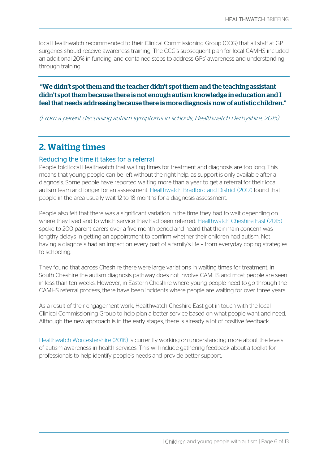local Healthwatch recommended to their Clinical Commissioning Group (CCG) that all staff at GP surgeries should receive awareness training. The CCG's subsequent plan for local CAMHS included an additional 20% in funding, and contained steps to address GPs' awareness and understanding through training.

#### "We didn't spot them and the teacher didn't spot them and the teaching assistant didn't spot them because there is not enough autism knowledge in education and I feel that needs addressing because there is more diagnosis now of autistic children."

(From a parent discussing autism symptoms in schools, Healthwatch Derbyshire, 2015)

## 2. Waiting times

#### Reducing the time it takes for a referral

People told local Healthwatch that waiting times for treatment and diagnosis are too long. This means that young people can be left without the right help, as support is only available after a diagnosis. Some people have reported waiting more than a year to get a referral for their local autism team and longer for an assessment. Healthwatch Bradford and District (2017) found that people in the area usually wait 12 to 18 months for a diagnosis assessment.

People also felt that there was a significant variation in the time they had to wait depending on where they lived and to which service they had been referred. Healthwatch Cheshire East (2015) spoke to 200 parent carers over a five month period and heard that their main concern was lengthy delays in getting an appointment to confirm whether their children had autism. Not having a diagnosis had an impact on every part of a family's life – from everyday coping strategies to schooling.

They found that across Cheshire there were large variations in waiting times for treatment. In South Cheshire the autism diagnosis pathway does not involve CAMHS and most people are seen in less than ten weeks. However, in Eastern Cheshire where young people need to go through the CAMHS referral process, there have been incidents where people are waiting for over three years.

As a result of their engagement work, Healthwatch Cheshire East got in touch with the local Clinical Commissioning Group to help plan a better service based on what people want and need. Although the new approach is in the early stages, there is already a lot of positive feedback.

Healthwatch Worcestershire (2016) is currently working on understanding more about the levels of autism awareness in health services. This will include gathering feedback about a toolkit for professionals to help identify people's needs and provide better support.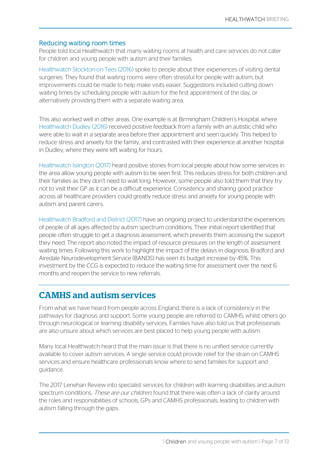#### Reducing waiting room times

People told local Healthwatch that many waiting rooms at health and care services do not cater for children and young people with autism and their families.

Healthwatch Stockton-on-Tees (2016) spoke to people about their experiences of visiting dental surgeries. They found that waiting rooms were often stressful for people with autism, but improvements could be made to help make visits easier. Suggestions included cutting down waiting times by scheduling people with autism for the first appointment of the day, or alternatively providing them with a separate waiting area.

This also worked well in other areas. One example is at Birmingham Children's Hospital, where Healthwatch Dudley (2016) received positive feedback from a family with an autistic child who were able to wait in a separate area before their appointment and seen quickly. This helped to reduce stress and anxiety for the family, and contrasted with their experience at another hospital in Dudley, where they were left waiting for hours.

Healthwatch Islington (2017) heard positive stories from local people about how some services in the area allow young people with autism to be seen first. This reduces stress for both children and their families as they don't need to wait long. However, some people also told them that they try not to visit their GP as it can be a difficult experience. Consistency and sharing good practice across all healthcare providers could greatly reduce stress and anxiety for young people with autism and parent carers.

Healthwatch Bradford and District (2017) have an ongoing project to understand the experiences of people of all ages affected by autism spectrum conditions. Their initial report identified that people often struggle to get a diagnosis assessment, which prevents them accessing the support they need. The report also noted the impact of resource pressures on the length of assessment waiting times. Following this work to highlight the impact of the delays in diagnosis, Bradford and Airedale Neurodevelopment Service (BANDS) has seen its budget increase by 45%. This investment by the CCG is expected to reduce the waiting time for assessment over the next 6 months and reopen the service to new referrals.

## CAMHS and autism services

From what we have heard from people across England, there is a lack of consistency in the pathways for diagnosis and support. Some young people are referred to CAMHS, whilst others go through neurological or learning disability services. Families have also told us that professionals are also unsure about which services are best placed to help young people with autism.

Many local Healthwatch heard that the main issue is that there is no unified service currently available to cover autism services. A single service could provide relief for the strain on CAMHS services and ensure healthcare professionals know where to send families for support and guidance.

The 2017 Lenehan Review into specialist services for children with learning disabilities and autism spectrum conditions, *These are our children*, found that there was often a lack of clarity around the roles and responsibilities of schools, GPs and CAMHS professionals, leading to children with autism falling through the gaps.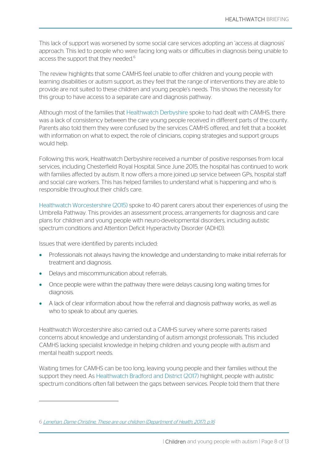This lack of support was worsened by some social care services adopting an 'access at diagnosis' approach. This led to people who were facing long waits or difficulties in diagnosis being unable to access the support that they needed.<sup>[6](#page-7-0)</sup>

The review highlights that some CAMHS feel unable to offer children and young people with learning disabilities or autism support, as they feel that the range of interventions they are able to provide are not suited to these children and young people's needs. This shows the necessity for this group to have access to a separate care and diagnosis pathway.

Although most of the families that Healthwatch Derbyshire spoke to had dealt with CAMHS, there was a lack of consistency between the care young people received in different parts of the county. Parents also told them they were confused by the services CAMHS offered, and felt that a booklet with information on what to expect, the role of clinicians, coping strategies and support groups would help.

Following this work, Healthwatch Derbyshire received a number of positive responses from local services, including Chesterfield Royal Hospital. Since June 2015, the hospital has continued to work with families affected by autism. It now offers a more joined up service between GPs, hospital staff and social care workers. This has helped families to understand what is happening and who is responsible throughout their child's care.

Healthwatch Worcestershire (2015) spoke to 40 parent carers about their experiences of using the Umbrella Pathway. This provides an assessment process, arrangements for diagnosis and care plans for children and young people with neuro-developmental disorders, including autistic spectrum conditions and Attention Deficit Hyperactivity Disorder (ADHD).

Issues that were identified by parents included:

- Professionals not always having the knowledge and understanding to make initial referrals for treatment and diagnosis.
- Delays and miscommunication about referrals.

 $\overline{a}$ 

- Once people were within the pathway there were delays causing long waiting times for diagnosis.
- A lack of clear information about how the referral and diagnosis pathway works, as well as who to speak to about any queries.

Healthwatch Worcestershire also carried out a CAMHS survey where some parents raised concerns about knowledge and understanding of autism amongst professionals. This included CAMHS lacking specialist knowledge in helping children and young people with autism and mental health support needs.

Waiting times for CAMHS can be too long, leaving young people and their families without the support they need. As Healthwatch Bradford and District (2017) highlight, people with autistic spectrum conditions often fall between the gaps between services. People told them that there

<span id="page-7-0"></span><sup>6</sup> [Lenehan, Dame Christine, These are our children \(Department of Health, 2017\), p.16](https://www.gov.uk/government/uploads/system/uploads/attachment_data/file/585376/Lenehan_Review_Report.pdf)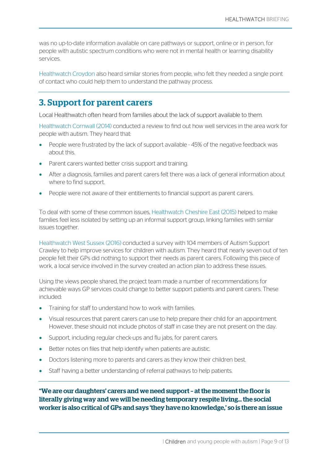was no up-to-date information available on care pathways or support, online or in person, for people with autistic spectrum conditions who were not in mental health or learning disability services.

Healthwatch Croydon also heard similar stories from people, who felt they needed a single point of contact who could help them to understand the pathway process.

## 3. Support for parent carers

Local Healthwatch often heard from families about the lack of support available to them.

Healthwatch Cornwall (2014) conducted a review to find out how well services in the area work for people with autism. They heard that:

- People were frustrated by the lack of support available 45% of the negative feedback was about this.
- Parent carers wanted better crisis support and training.
- After a diagnosis, families and parent carers felt there was a lack of general information about where to find support.
- People were not aware of their entitlements to financial support as parent carers.

To deal with some of these common issues, Healthwatch Cheshire East (2015) helped to make families feel less isolated by setting up an informal support group, linking families with similar issues together.

Healthwatch West Sussex (2016) conducted a survey with 104 members of Autism Support Crawley to help improve services for children with autism. They heard that nearly seven out of ten people felt their GPs did nothing to support their needs as parent carers. Following this piece of work, a local service involved in the survey created an action plan to address these issues.

Using the views people shared, the project team made a number of recommendations for achievable ways GP services could change to better support patients and parent carers. These included:

- Training for staff to understand how to work with families.
- Visual resources that parent carers can use to help prepare their child for an appointment. However, these should not include photos of staff in case they are not present on the day.
- Support, including regular check-ups and flu jabs, for parent carers.
- Better notes on files that help identify when patients are autistic.
- Doctors listening more to parents and carers as they know their children best.
- Staff having a better understanding of referral pathways to help patients.

"We are our daughters' carers and we need support – at the moment the floor is literally giving way and we will be needing temporary respite living… the social worker is also critical of GPs and says 'they have no knowledge,' so is there an issue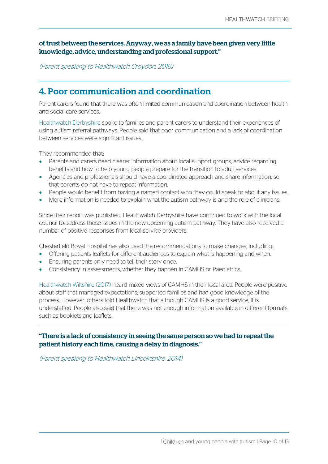#### of trust between the services. Anyway, we as a family have been given very little knowledge, advice, understanding and professional support."

(Parent speaking to Healthwatch Croydon, 2016)

## 4. Poor communication and coordination

Parent carers found that there was often limited communication and coordination between health and social care services.

Healthwatch Derbyshire spoke to families and parent carers to understand their experiences of using autism referral pathways. People said that poor communication and a lack of coordination between services were significant issues.

They recommended that:

- Parents and carers need clearer information about local support groups, advice regarding benefits and how to help young people prepare for the transition to adult services.
- Agencies and professionals should have a coordinated approach and share information, so that parents do not have to repeat information.
- People would benefit from having a named contact who they could speak to about any issues.
- More information is needed to explain what the autism pathway is and the role of clinicians.

Since their report was published, Healthwatch Derbyshire have continued to work with the local council to address these issues in the new upcoming autism pathway. They have also received a number of positive responses from local service providers.

Chesterfield Royal Hospital has also used the recommendations to make changes, including:

- Offering patients leaflets for different audiences to explain what is happening and when.
- Ensuring parents only need to tell their story once.
- Consistency in assessments, whether they happen in CAMHS or Paediatrics.

Healthwatch Wiltshire (2017) heard mixed views of CAMHS in their local area. People were positive about staff that managed expectations, supported families and had good knowledge of the process. However, others told Healthwatch that although CAMHS is a good service, it is understaffed. People also said that there was not enough information available in different formats, such as booklets and leaflets.

"There is a lack of consistency in seeing the same person so we had to repeat the patient history each time, causing a delay in diagnosis."

(Parent speaking to Healthwatch Lincolnshire, 2014)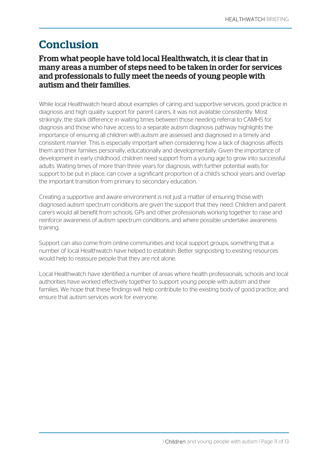## Conclusion

### From what people have told local Healthwatch, it is clear that in many areas a number of steps need to be taken in order for services and professionals to fully meet the needs of young people with autism and their families.

While local Healthwatch heard about examples of caring and supportive services, good practice in diagnosis and high quality support for parent carers, it was not available consistently. Most strikingly, the stark difference in waiting times between those needing referral to CAMHS for diagnosis and those who have access to a separate autism diagnosis pathway highlights the importance of ensuring all children with autism are assessed and diagnosed in a timely and consistent manner. This is especially important when considering how a lack of diagnosis affects them and their families personally, educationally and developmentally. Given the importance of development in early childhood, children need support from a young age to grow into successful adults. Waiting times of more than three years for diagnosis, with further potential waits for support to be put in place, can cover a significant proportion of a child's school years and overlap the important transition from primary to secondary education.

Creating a supportive and aware environment is not just a matter of ensuring those with diagnosed autism spectrum conditions are given the support that they need. Children and parent carers would all benefit from schools, GPs and other professionals working together to raise and reinforce awareness of autism spectrum conditions, and where possible undertake awareness training.

Support can also come from online communities and local support groups, something that a number of local Healthwatch have helped to establish. Better signposting to existing resources would help to reassure people that they are not alone.

Local Healthwatch have identified a number of areas where health professionals, schools and local authorities have worked effectively together to support young people with autism and their families. We hope that these findings will help contribute to the existing body of good practice, and ensure that autism services work for everyone.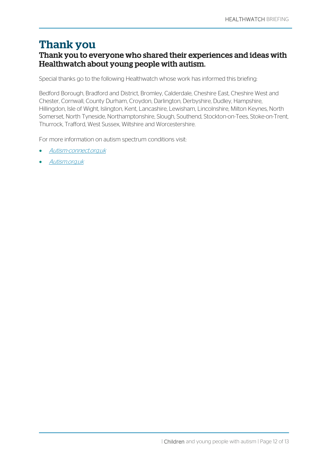## Thank you

## Thank you to everyone who shared their experiences and ideas with Healthwatch about young people with autism.

Special thanks go to the following Healthwatch whose work has informed this briefing:

Bedford Borough, Bradford and District, Bromley, Calderdale, Cheshire East, Cheshire West and Chester, Cornwall, County Durham, Croydon, Darlington, Derbyshire, Dudley, Hampshire, Hillingdon, Isle of Wight, Islington, Kent, Lancashire, Lewisham, Lincolnshire, Milton Keynes, North Somerset, North Tyneside, Northamptonshire, Slough, Southend, Stockton-on-Tees, Stoke-on-Trent, Thurrock, Trafford, West Sussex, Wiltshire and Worcestershire.

For more information on autism spectrum conditions visit:

- [Autism-connect.org.uk](http://www.autism-connect.org.uk/)
- [Autism.org.uk](http://www.autism.org.uk/)